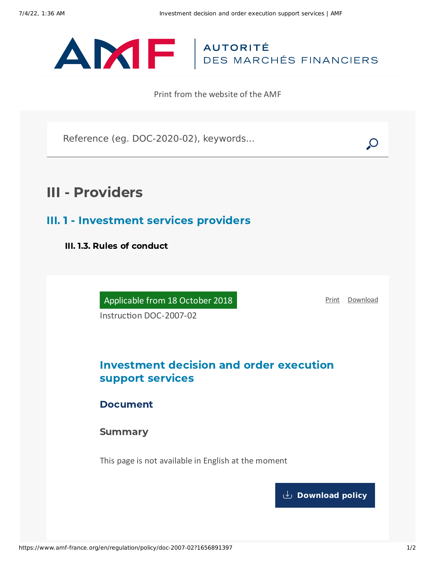

Print from the website of the AMF

Reference (eg. DOC-2020-02), keywords...

# III - Providers

III. 1 - Investment services providers

III. 1.3. Rules of conduct

Applicable from 18 October 2018

[Print](javascript:window.print()) [Download](https://www.amf-france.org/sites/default/files/pdf/62884/en/Investment_decision_and_order_execution_support_services.pdf?1656891399)

Instruction DOC-2007-02

# Investment decision and order execution support services

Document

**Summary** 

This page is not available in English at the moment

**[Download](https://www.amf-france.org/sites/default/files/pdf/62884/en/Investment_decision_and_order_execution_support_services.pdf?1656891399?1656891399) policy**